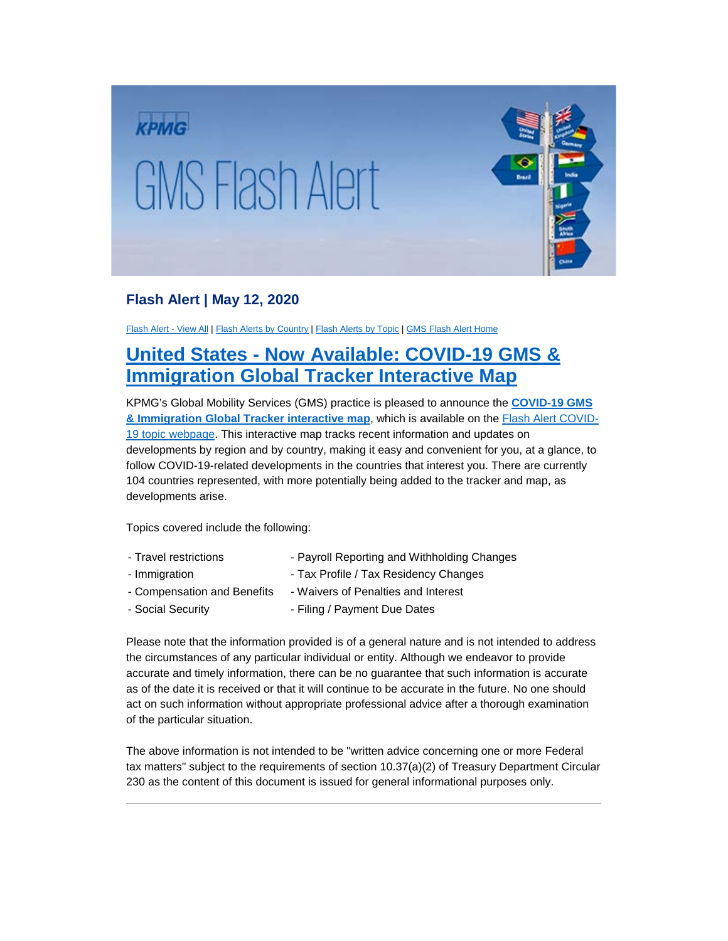

## **Flash Alert | May 12, 2020**

[Flash Alert -](https://home.kpmg.com/xx/en/home/insights/2015/03/flash-alert-all.html) View All | Flash [Alerts by Country](https://home.kpmg.com/xx/en/home/insights/2015/03/flash-alert-country-view.html) [| Flash Alerts by Topic](https://home.kpmg.com/xx/en/home/insights/2015/09/flash-alert-topics-all.html) [| GMS Flash Alert Home](https://home.kpmg.com/xx/en/home/insights/2015/03/gms-flash-alerts-home.html)

## **United States - [Now Available: COVID-19 GMS &](https://assets.kpmg/content/dam/kpmg/xx/pdf/2020/05/Interactive-GMS-Covid-Tracker.pdf)  Immigration Global Tracker Interactive Map**

KPMG's Global Mobility Services (GMS) practice is pleased to announce the **[COVID-19 GMS](https://assets.kpmg/content/dam/kpmg/xx/pdf/2020/05/Interactive-GMS-Covid-Tracker.pdf)  [& Immigration Global Tracker interactive map](https://assets.kpmg/content/dam/kpmg/xx/pdf/2020/05/Interactive-GMS-Covid-Tracker.pdf)**, which is available on the [Flash Alert COVID-](https://home.kpmg/xx/en/home/insights/2020/03/flash-alert-covid19.html)[19 topic webpage.](https://home.kpmg/xx/en/home/insights/2020/03/flash-alert-covid19.html) This interactive map tracks recent information and updates on developments by region and by country, making it easy and convenient for you, at a glance, to follow COVID-19-related developments in the countries that interest you. There are currently 104 countries represented, with more potentially being added to the tracker and map, as developments arise.

Topics covered include the following:

- Travel restrictions Payroll Reporting and Withholding Changes
- Immigration  **Tax Profile / Tax Residency Changes**
- Compensation and Benefits Waivers of Penalties and Interest
- Social Security  **Filing / Payment Due Dates**

Please note that the information provided is of a general nature and is not intended to address the circumstances of any particular individual or entity. Although we endeavor to provide accurate and timely information, there can be no guarantee that such information is accurate as of the date it is received or that it will continue to be accurate in the future. No one should act on such information without appropriate professional advice after a thorough examination of the particular situation.

The above information is not intended to be "written advice concerning one or more Federal tax matters" subject to the requirements of section 10.37(a)(2) of Treasury Department Circular 230 as the content of this document is issued for general informational purposes only.